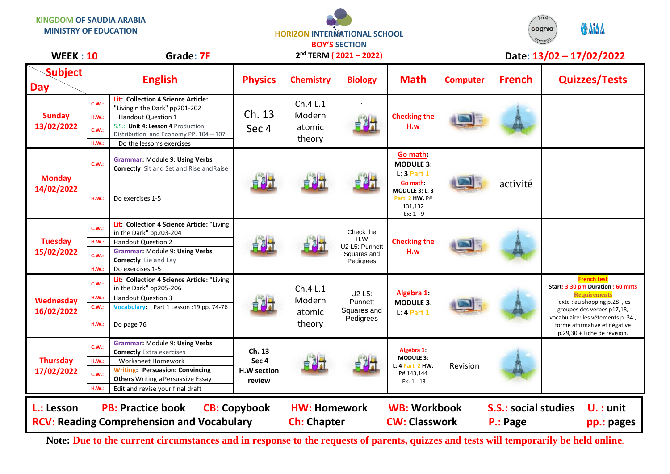**KINGDOM OF SAUDIA ARABIA**

**MINISTRY OF EDUCATION**

## **HORIZON INTERMATIONAL SCHOOL BOY'S SECTION**



| <b>WEEK: 10</b>               |                                  | Grade: 7F                                                                                                                                                                                                                 | $2nd$ TERM ( $2021 - 2022$ )                        |                                           |                                                                |                                                                                   | Date: 13/02 - 17/02/2022 |                                         |                                                                                                                                                                                                                                                    |
|-------------------------------|----------------------------------|---------------------------------------------------------------------------------------------------------------------------------------------------------------------------------------------------------------------------|-----------------------------------------------------|-------------------------------------------|----------------------------------------------------------------|-----------------------------------------------------------------------------------|--------------------------|-----------------------------------------|----------------------------------------------------------------------------------------------------------------------------------------------------------------------------------------------------------------------------------------------------|
| <b>Subject</b><br><b>Day</b>  |                                  | <b>English</b>                                                                                                                                                                                                            | <b>Physics</b>                                      | <b>Chemistry</b>                          | <b>Biology</b>                                                 | <b>Math</b>                                                                       | <b>Computer</b>          | <b>French</b>                           | <b>Quizzes/Tests</b>                                                                                                                                                                                                                               |
| <b>Sunday</b><br>13/02/2022   | C.W.:<br>H.W.:<br>C.W.:<br>H.W.: | Lit: Collection 4 Science Article:<br>"Livingin the Dark" pp201-202<br><b>Handout Question 1</b><br>S.S.: Unit 4: Lesson 4 Production,<br>Distribution, and Economy PP. 104 - 107<br>Do the lesson's exercises            | Ch. 13<br>Sec 4                                     | Ch.4 L.1<br>Modern<br>atomic<br>theory    |                                                                | <b>Checking the</b><br>H.w                                                        |                          |                                         |                                                                                                                                                                                                                                                    |
| <b>Monday</b><br>14/02/2022   | C.W.:                            | <b>Grammar: Module 9: Using Verbs</b><br><b>Correctly</b> Sit and Set and Rise and Raise                                                                                                                                  | 自测计                                                 | 自对于                                       |                                                                | Go math:<br><b>MODULE 3:</b><br>$L: 3$ Part 1                                     |                          | activité                                |                                                                                                                                                                                                                                                    |
|                               | HM.:                             | Do exercises 1-5                                                                                                                                                                                                          |                                                     |                                           |                                                                | Go math:<br>MODULE 3: L: 3<br>Part 2 HW. P#<br>131,132<br>Ex: 1 - 9               |                          |                                         |                                                                                                                                                                                                                                                    |
| <b>Tuesday</b><br>15/02/2022  | C.W.:<br>H.W.:                   | Lit: Collection 4 Science Article: "Living<br>in the Dark" pp203-204<br><b>Handout Question 2</b><br>Grammar: Module 9: Using Verbs                                                                                       | 自身开                                                 |                                           | Check the<br>H.W<br>U2 L5: Punnett<br>Squares and<br>Pedigrees | <b>Checking the</b><br>H.w                                                        |                          |                                         |                                                                                                                                                                                                                                                    |
|                               | C.W.:<br>H.W.:                   | Correctly Lie and Lay<br>Do exercises 1-5                                                                                                                                                                                 |                                                     |                                           |                                                                |                                                                                   |                          |                                         |                                                                                                                                                                                                                                                    |
| Wednesday<br>16/02/2022       | C.W.:<br>H.W.:<br>C.W.:<br>H.W.: | Lit: Collection 4 Science Article: "Living<br>in the Dark" pp205-206<br><b>Handout Question 3</b><br>Vocabulary: Part 1 Lesson :19 pp. 74-76<br>Do page 76                                                                |                                                     | Ch.4 L.1<br>Modern<br>atomic<br>theory    | U2 L5:<br>Punnett<br>Squares and<br>Pedigrees                  | Algebra 1:<br><b>MODULE 3:</b><br>$L: 4$ Part 1                                   |                          |                                         | <b>French test</b><br>Start: 3:30 pm Duration : 60 mnts<br><b>Requirements</b><br>Texte: au shopping p.28, les<br>groupes des verbes p17,18,<br>vocabulaire: les vêtements p. 34,<br>forme affirmative et négative<br>p.29,30 + Fiche de révision. |
| <b>Thursday</b><br>17/02/2022 | C.W.:<br>H.W.:<br>C.W.:<br>HM.:  | Grammar: Module 9: Using Verbs<br><b>Correctly</b> Extra exercises<br><b>Worksheet Homework</b><br><b>Writing: Persuasion: Convincing</b><br><b>Others</b> Writing a Persuasive Essay<br>Edit and revise your final draft | Ch. 13<br>Sec <sub>4</sub><br>H.W section<br>review |                                           |                                                                | Algebra 1:<br><b>MODULE 3:</b><br>$L: 4$ Part 2 HW.<br>P# 143,144<br>$Ex: 1 - 13$ | Revision                 |                                         |                                                                                                                                                                                                                                                    |
| L.: Lesson                    |                                  | <b>PB: Practice book</b><br><b>RCV: Reading Comprehension and Vocabulary</b>                                                                                                                                              | <b>CB: Copybook</b>                                 | <b>HW: Homework</b><br><b>Ch: Chapter</b> |                                                                | <b>WB: Workbook</b><br><b>CW: Classwork</b>                                       |                          | <b>S.S.: social studies</b><br>P.: Page | $U.$ : unit<br>pp.: pages                                                                                                                                                                                                                          |

**Note: Due to the current circumstances and in response to the requests of parents, quizzes and tests will temporarily be held online.**